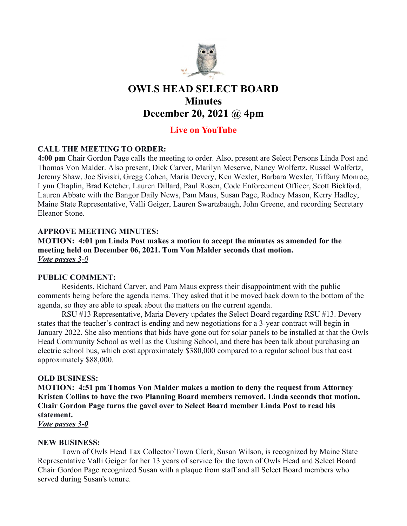

# OWLS HEAD SELECT BOARD **Minutes** December 20, 2021 @ 4pm

# Live on YouTube

## CALL THE MEETING TO ORDER:

4:00 pm Chair Gordon Page calls the meeting to order. Also, present are Select Persons Linda Post and Thomas Von Malder. Also present, Dick Carver, Marilyn Meserve, Nancy Wolfertz, Russel Wolfertz, Jeremy Shaw, Joe Siviski, Gregg Cohen, Maria Devery, Ken Wexler, Barbara Wexler, Tiffany Monroe, Lynn Chaplin, Brad Ketcher, Lauren Dillard, Paul Rosen, Code Enforcement Officer, Scott Bickford, Lauren Abbate with the Bangor Daily News, Pam Maus, Susan Page, Rodney Mason, Kerry Hadley, Maine State Representative, Valli Geiger, Lauren Swartzbaugh, John Greene, and recording Secretary Eleanor Stone.

## APPROVE MEETING MINUTES:

MOTION: 4:01 pm Linda Post makes a motion to accept the minutes as amended for the meeting held on December 06, 2021. Tom Von Malder seconds that motion. Vote passes 3-0

#### PUBLIC COMMENT:

Residents, Richard Carver, and Pam Maus express their disappointment with the public comments being before the agenda items. They asked that it be moved back down to the bottom of the agenda, so they are able to speak about the matters on the current agenda.

RSU #13 Representative, Maria Devery updates the Select Board regarding RSU #13. Devery states that the teacher's contract is ending and new negotiations for a 3-year contract will begin in January 2022. She also mentions that bids have gone out for solar panels to be installed at that the Owls Head Community School as well as the Cushing School, and there has been talk about purchasing an electric school bus, which cost approximately \$380,000 compared to a regular school bus that cost approximately \$88,000.

#### OLD BUSINESS:

MOTION: 4:51 pm Thomas Von Malder makes a motion to deny the request from Attorney Kristen Collins to have the two Planning Board members removed. Linda seconds that motion. Chair Gordon Page turns the gavel over to Select Board member Linda Post to read his statement.

Vote passes 3-0

#### NEW BUSINESS:

Town of Owls Head Tax Collector/Town Clerk, Susan Wilson, is recognized by Maine State Representative Valli Geiger for her 13 years of service for the town of Owls Head and Select Board Chair Gordon Page recognized Susan with a plaque from staff and all Select Board members who served during Susan's tenure.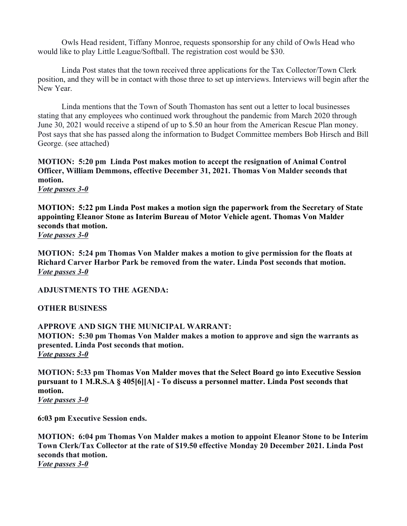Owls Head resident, Tiffany Monroe, requests sponsorship for any child of Owls Head who would like to play Little League/Softball. The registration cost would be \$30.

Linda Post states that the town received three applications for the Tax Collector/Town Clerk position, and they will be in contact with those three to set up interviews. Interviews will begin after the New Year.

Linda mentions that the Town of South Thomaston has sent out a letter to local businesses stating that any employees who continued work throughout the pandemic from March 2020 through June 30, 2021 would receive a stipend of up to \$.50 an hour from the American Rescue Plan money. Post says that she has passed along the information to Budget Committee members Bob Hirsch and Bill George. (see attached)

MOTION: 5:20 pm Linda Post makes motion to accept the resignation of Animal Control Officer, William Demmons, effective December 31, 2021. Thomas Von Malder seconds that motion.

Vote passes 3-0

MOTION: 5:22 pm Linda Post makes a motion sign the paperwork from the Secretary of State appointing Eleanor Stone as Interim Bureau of Motor Vehicle agent. Thomas Von Malder seconds that motion. Vote passes 3-0

MOTION: 5:24 pm Thomas Von Malder makes a motion to give permission for the floats at Richard Carver Harbor Park be removed from the water. Linda Post seconds that motion. Vote passes 3-0

ADJUSTMENTS TO THE AGENDA:

OTHER BUSINESS

APPROVE AND SIGN THE MUNICIPAL WARRANT: MOTION: 5:30 pm Thomas Von Malder makes a motion to approve and sign the warrants as presented. Linda Post seconds that motion. Vote passes 3-0

MOTION: 5:33 pm Thomas Von Malder moves that the Select Board go into Executive Session pursuant to 1 M.R.S.A § 405[6][A] - To discuss a personnel matter. Linda Post seconds that motion.

Vote passes 3-0

6:03 pm Executive Session ends.

MOTION: 6:04 pm Thomas Von Malder makes a motion to appoint Eleanor Stone to be Interim Town Clerk/Tax Collector at the rate of \$19.50 effective Monday 20 December 2021. Linda Post seconds that motion. Vote passes 3-0